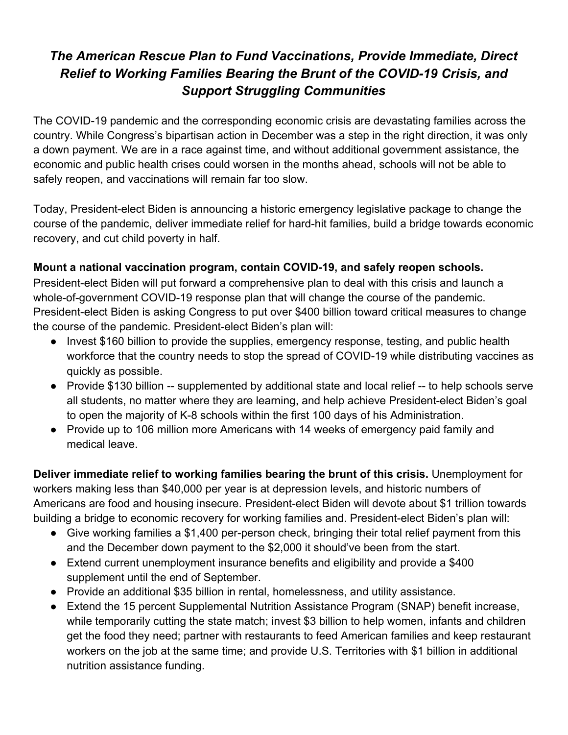## *The American Rescue Plan to Fund Vaccinations, Provide Immediate, Direct Relief to Working Families Bearing the Brunt of the COVID-19 Crisis, and Support Struggling Communities*

The COVID-19 pandemic and the corresponding economic crisis are devastating families across the country. While Congress's bipartisan action in December was a step in the right direction, it was only a down payment. We are in a race against time, and without additional government assistance, the economic and public health crises could worsen in the months ahead, schools will not be able to safely reopen, and vaccinations will remain far too slow.

Today, President-elect Biden is announcing a historic emergency legislative package to change the course of the pandemic, deliver immediate relief for hard-hit families, build a bridge towards economic recovery, and cut child poverty in half.

## **Mount a national vaccination program, contain COVID-19, and safely reopen schools.**

President-elect Biden will put forward a comprehensive plan to deal with this crisis and launch a whole-of-government COVID-19 response plan that will change the course of the pandemic. President-elect Biden is asking Congress to put over \$400 billion toward critical measures to change the course of the pandemic. President-elect Biden's plan will:

- Invest \$160 billion to provide the supplies, emergency response, testing, and public health workforce that the country needs to stop the spread of COVID-19 while distributing vaccines as quickly as possible.
- **●** Provide \$130 billion -- supplemented by additional state and local relief -- to help schools serve all students, no matter where they are learning, and help achieve President-elect Biden's goal to open the majority of K-8 schools within the first 100 days of his Administration.
- **●** Provide up to 106 million more Americans with 14 weeks of emergency paid family and medical leave.

**Deliver immediate relief to working families bearing the brunt of this crisis.** Unemployment for workers making less than \$40,000 per year is at depression levels, and historic numbers of Americans are food and housing insecure. President-elect Biden will devote about \$1 trillion towards building a bridge to economic recovery for working families and. President-elect Biden's plan will:

- Give working families a \$1,400 per-person check, bringing their total relief payment from this and the December down payment to the \$2,000 it should've been from the start.
- Extend current unemployment insurance benefits and eligibility and provide a \$400 supplement until the end of September.
- Provide an additional \$35 billion in rental, homelessness, and utility assistance.
- Extend the 15 percent Supplemental Nutrition Assistance Program (SNAP) benefit increase, while temporarily cutting the state match; invest \$3 billion to help women, infants and children get the food they need; partner with restaurants to feed American families and keep restaurant workers on the job at the same time; and provide U.S. Territories with \$1 billion in additional nutrition assistance funding.